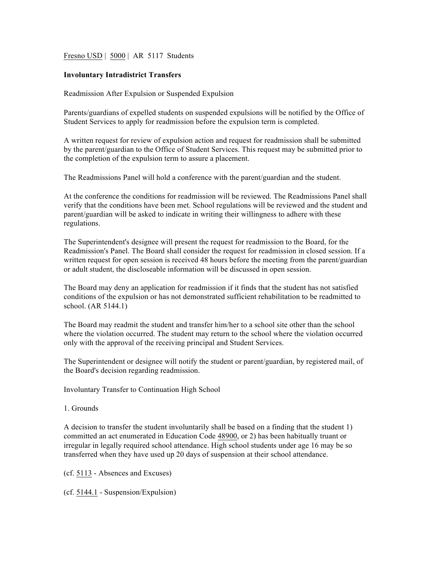Fresno USD | 5000 | AR 5117 Students

# **Involuntary Intradistrict Transfers**

Readmission After Expulsion or Suspended Expulsion

Parents/guardians of expelled students on suspended expulsions will be notified by the Office of Student Services to apply for readmission before the expulsion term is completed.

A written request for review of expulsion action and request for readmission shall be submitted by the parent/guardian to the Office of Student Services. This request may be submitted prior to the completion of the expulsion term to assure a placement.

The Readmissions Panel will hold a conference with the parent/guardian and the student.

At the conference the conditions for readmission will be reviewed. The Readmissions Panel shall verify that the conditions have been met. School regulations will be reviewed and the student and parent/guardian will be asked to indicate in writing their willingness to adhere with these regulations.

The Superintendent's designee will present the request for readmission to the Board, for the Readmission's Panel. The Board shall consider the request for readmission in closed session. If a written request for open session is received 48 hours before the meeting from the parent/guardian or adult student, the discloseable information will be discussed in open session.

The Board may deny an application for readmission if it finds that the student has not satisfied conditions of the expulsion or has not demonstrated sufficient rehabilitation to be readmitted to school. (AR 5144.1)

The Board may readmit the student and transfer him/her to a school site other than the school where the violation occurred. The student may return to the school where the violation occurred only with the approval of the receiving principal and Student Services.

The Superintendent or designee will notify the student or parent/guardian, by registered mail, of the Board's decision regarding readmission.

Involuntary Transfer to Continuation High School

1. Grounds

A decision to transfer the student involuntarily shall be based on a finding that the student 1) committed an act enumerated in Education Code 48900, or 2) has been habitually truant or irregular in legally required school attendance. High school students under age 16 may be so transferred when they have used up 20 days of suspension at their school attendance.

(cf. 5113 - Absences and Excuses)

(cf. 5144.1 - Suspension/Expulsion)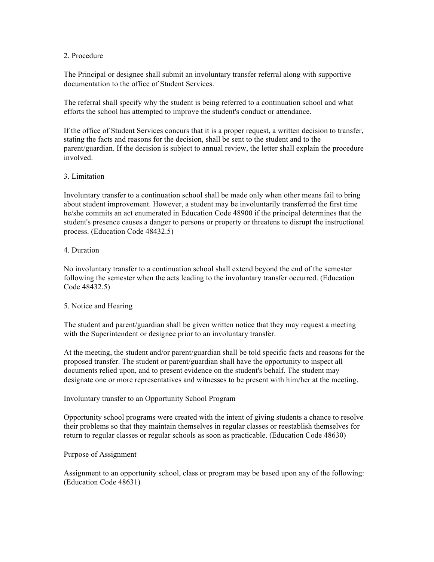# 2. Procedure

The Principal or designee shall submit an involuntary transfer referral along with supportive documentation to the office of Student Services.

The referral shall specify why the student is being referred to a continuation school and what efforts the school has attempted to improve the student's conduct or attendance.

If the office of Student Services concurs that it is a proper request, a written decision to transfer, stating the facts and reasons for the decision, shall be sent to the student and to the parent/guardian. If the decision is subject to annual review, the letter shall explain the procedure involved.

# 3. Limitation

Involuntary transfer to a continuation school shall be made only when other means fail to bring about student improvement. However, a student may be involuntarily transferred the first time he/she commits an act enumerated in Education Code 48900 if the principal determines that the student's presence causes a danger to persons or property or threatens to disrupt the instructional process. (Education Code 48432.5)

## 4. Duration

No involuntary transfer to a continuation school shall extend beyond the end of the semester following the semester when the acts leading to the involuntary transfer occurred. (Education Code 48432.5)

# 5. Notice and Hearing

The student and parent/guardian shall be given written notice that they may request a meeting with the Superintendent or designee prior to an involuntary transfer.

At the meeting, the student and/or parent/guardian shall be told specific facts and reasons for the proposed transfer. The student or parent/guardian shall have the opportunity to inspect all documents relied upon, and to present evidence on the student's behalf. The student may designate one or more representatives and witnesses to be present with him/her at the meeting.

#### Involuntary transfer to an Opportunity School Program

Opportunity school programs were created with the intent of giving students a chance to resolve their problems so that they maintain themselves in regular classes or reestablish themselves for return to regular classes or regular schools as soon as practicable. (Education Code 48630)

# Purpose of Assignment

Assignment to an opportunity school, class or program may be based upon any of the following: (Education Code 48631)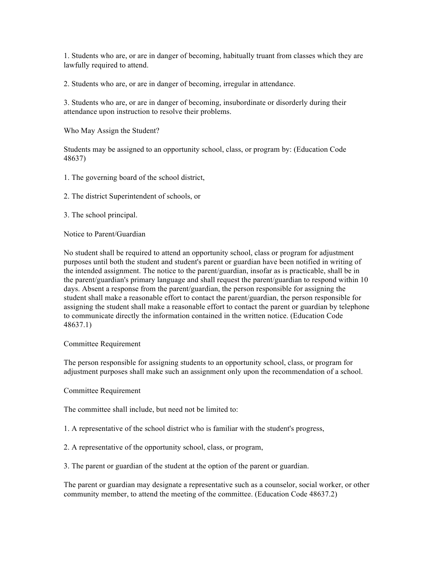1. Students who are, or are in danger of becoming, habitually truant from classes which they are lawfully required to attend.

2. Students who are, or are in danger of becoming, irregular in attendance.

3. Students who are, or are in danger of becoming, insubordinate or disorderly during their attendance upon instruction to resolve their problems.

Who May Assign the Student?

Students may be assigned to an opportunity school, class, or program by: (Education Code 48637)

- 1. The governing board of the school district,
- 2. The district Superintendent of schools, or
- 3. The school principal.

Notice to Parent/Guardian

No student shall be required to attend an opportunity school, class or program for adjustment purposes until both the student and student's parent or guardian have been notified in writing of the intended assignment. The notice to the parent/guardian, insofar as is practicable, shall be in the parent/guardian's primary language and shall request the parent/guardian to respond within 10 days. Absent a response from the parent/guardian, the person responsible for assigning the student shall make a reasonable effort to contact the parent/guardian, the person responsible for assigning the student shall make a reasonable effort to contact the parent or guardian by telephone to communicate directly the information contained in the written notice. (Education Code 48637.1)

#### Committee Requirement

The person responsible for assigning students to an opportunity school, class, or program for adjustment purposes shall make such an assignment only upon the recommendation of a school.

Committee Requirement

The committee shall include, but need not be limited to:

1. A representative of the school district who is familiar with the student's progress,

2. A representative of the opportunity school, class, or program,

3. The parent or guardian of the student at the option of the parent or guardian.

The parent or guardian may designate a representative such as a counselor, social worker, or other community member, to attend the meeting of the committee. (Education Code 48637.2)